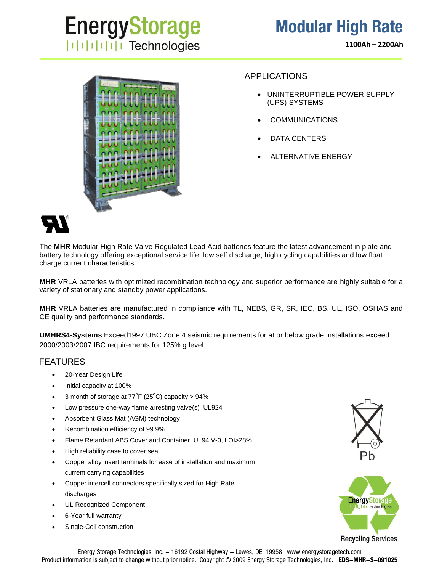**1100Ah – 2200Ah**



### APPLICATIONS

- UNINTERRUPTIBLE POWER SUPPLY (UPS) SYSTEMS
- COMMUNICATIONS
- DATA CENTERS
- ALTERNATIVE ENERGY



The **MHR** Modular High Rate Valve Regulated Lead Acid batteries feature the latest advancement in plate and battery technology offering exceptional service life, low self discharge, high cycling capabilities and low float charge current characteristics.

**MHR** VRLA batteries with optimized recombination technology and superior performance are highly suitable for a variety of stationary and standby power applications.

**MHR** VRLA batteries are manufactured in compliance with TL, NEBS, GR, SR, IEC, BS, UL, ISO, OSHAS and CE quality and performance standards.

**UMHRS4-Systems** Exceed1997 UBC Zone 4 seismic requirements for at or below grade installations exceed 2000/2003/2007 IBC requirements for 125% g level.

## FEATURES

- 20-Year Design Life
- Initial capacity at 100%
- 3 month of storage at  $77^{\circ}F(25^{\circ}C)$  capacity > 94%
- Low pressure one-way flame arresting valve(s) UL924
- Absorbent Glass Mat (AGM) technology
- Recombination efficiency of 99.9%
- Flame Retardant ABS Cover and Container, UL94 V-0, LOI>28%
- High reliability case to cover seal
- Copper alloy insert terminals for ease of installation and maximum current carrying capabilities
- Copper intercell connectors specifically sized for High Rate discharges
- UL Recognized Component
- 6-Year full warranty
- Single-Cell construction





Energy Storage Technologies, Inc. - 16192 Costal Highway - Lewes, DE 19958 www.energystoragetech.com Product information is subject to change without prior notice. Copyright © 2009 Energy Storage Technologies, Inc. **EDS-MHR-S-091025**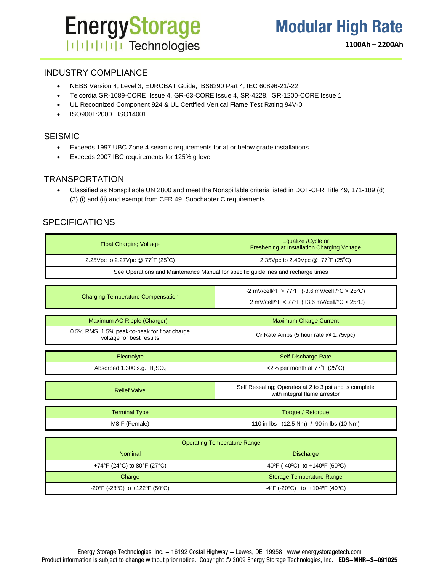# **EnergyStorage ITITITITI** Technologies

**1100Ah – 2200Ah**

## INDUSTRY COMPLIANCE

- NEBS Version 4, Level 3, EUROBAT Guide, BS6290 Part 4, IEC 60896-21/-22
- Telcordia GR-1089-CORE Issue 4, GR-63-CORE Issue 4, SR-4228, GR-1200-CORE Issue 1
- UL Recognized Component 924 & UL Certified Vertical Flame Test Rating 94V-0
- ISO9001:2000 ISO14001

### SEISMIC

- Exceeds 1997 UBC Zone 4 seismic requirements for at or below grade installations
- Exceeds 2007 IBC requirements for 125% g level

### **TRANSPORTATION**

 Classified as Nonspillable UN 2800 and meet the Nonspillable criteria listed in DOT-CFR Title 49, 171-189 (d) (3) (i) and (ii) and exempt from CFR 49, Subchapter C requirements

### SPECIFICATIONS

| <b>Float Charging Voltage</b>                                            | Equalize / Cycle or<br>Freshening at Installation Charging Voltage                     |  |  |  |  |  |  |
|--------------------------------------------------------------------------|----------------------------------------------------------------------------------------|--|--|--|--|--|--|
| 2.25Vpc to 2.27Vpc @ 77°F (25°C)                                         | 2.35Vpc to 2.40Vpc @ 77°F (25°C)                                                       |  |  |  |  |  |  |
|                                                                          | See Operations and Maintenance Manual for specific guidelines and recharge times       |  |  |  |  |  |  |
|                                                                          |                                                                                        |  |  |  |  |  |  |
|                                                                          | -2 mV/cell/°F > 77°F (-3.6 mV/cell /°C > 25°C)                                         |  |  |  |  |  |  |
| <b>Charging Temperature Compensation</b>                                 | +2 mV/cell/°F < 77°F (+3.6 mV/cell/°C < 25°C)                                          |  |  |  |  |  |  |
|                                                                          |                                                                                        |  |  |  |  |  |  |
| Maximum AC Ripple (Charger)                                              | <b>Maximum Charge Current</b>                                                          |  |  |  |  |  |  |
| 0.5% RMS, 1.5% peak-to-peak for float charge<br>voltage for best results | $C_5$ Rate Amps (5 hour rate $@$ 1.75vpc)                                              |  |  |  |  |  |  |
|                                                                          |                                                                                        |  |  |  |  |  |  |
| Electrolyte                                                              | Self Discharge Rate                                                                    |  |  |  |  |  |  |
| Absorbed 1.300 s.g. $H2SO4$                                              | <2% per month at $77^{\circ}F$ (25°C)                                                  |  |  |  |  |  |  |
|                                                                          |                                                                                        |  |  |  |  |  |  |
| <b>Relief Valve</b>                                                      | Self Resealing; Operates at 2 to 3 psi and is complete<br>with integral flame arrestor |  |  |  |  |  |  |
|                                                                          |                                                                                        |  |  |  |  |  |  |
| <b>Terminal Type</b>                                                     | Torque / Retorque                                                                      |  |  |  |  |  |  |
| M8-F (Female)                                                            | 110 in-lbs (12.5 Nm) / 90 in-lbs (10 Nm)                                               |  |  |  |  |  |  |
|                                                                          |                                                                                        |  |  |  |  |  |  |
|                                                                          | <b>Operating Temperature Range</b>                                                     |  |  |  |  |  |  |
| <b>Nominal</b>                                                           | Diecharge                                                                              |  |  |  |  |  |  |

|                                          | Operating Temperature Range                                             |
|------------------------------------------|-------------------------------------------------------------------------|
| <b>Nominal</b>                           | <b>Discharge</b>                                                        |
| +74°F (24°C) to 80°F (27°C)              | -40°F (-40°C) to +140°F (60°C)                                          |
| Charge                                   | <b>Storage Temperature Range</b>                                        |
| $-20^{\circ}$ F (-28°C) to +122°F (50°C) | $-4^{\circ}$ F (-20 $^{\circ}$ C) to $+104^{\circ}$ F (40 $^{\circ}$ C) |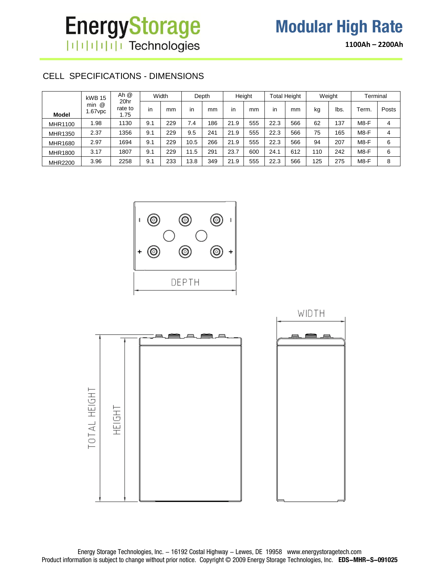# **EnergyStorage** | | | | | | | | | | Technologies

# **Modular High Rate**

**1100Ah – 2200Ah**

## CELL SPECIFICATIONS - DIMENSIONS

|                | kWB 15              | Ah $@$                  |     | Width |      | Depth |      | Height |      | <b>Total Height</b> |     | Weight | Terminal |       |
|----------------|---------------------|-------------------------|-----|-------|------|-------|------|--------|------|---------------------|-----|--------|----------|-------|
| <b>Model</b>   | $min$ $@$<br>.67vpc | 20hr<br>rate to<br>1.75 | in  | mm    | in   | mm    | in   | mm     | in   | mm                  | kg  | lbs.   | Term.    | Posts |
| <b>MHR1100</b> | .98                 | 1130                    | 9.1 | 229   | 7.4  | 186   | 21.9 | 555    | 22.3 | 566                 | 62  | 137    | M8-F     | 4     |
| MHR1350        | 2.37                | 1356                    | 9.1 | 229   | 9.5  | 241   | 21.9 | 555    | 22.3 | 566                 | 75  | 165    | M8-F     | 4     |
| <b>MHR1680</b> | 2.97                | 1694                    | 9.1 | 229   | 10.5 | 266   | 21.9 | 555    | 22.3 | 566                 | 94  | 207    | M8-F     | 6     |
| MHR1800        | 3.17                | 1807                    | 9.1 | 229   | 11.5 | 291   | 23.7 | 600    | 24.1 | 612                 | 110 | 242    | M8-F     | 6     |
| MHR2200        | 3.96                | 2258                    | 9.1 | 233   | 13.8 | 349   | 21.9 | 555    | 22.3 | 566                 | 125 | 275    | M8-F     | 8     |



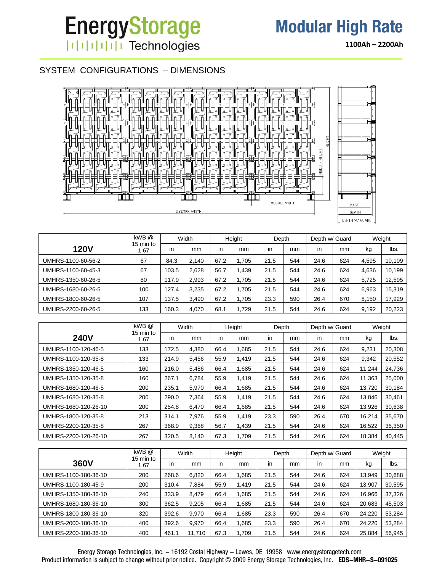## SYSTEM CONFIGURATIONS – DIMENSIONS



|                    | kWB @             |       | Width |      | Height | Depth |     | Depth w/ Guard |     |       | Weight |
|--------------------|-------------------|-------|-------|------|--------|-------|-----|----------------|-----|-------|--------|
| <b>120V</b>        | 15 min to<br>1.67 | in    | mm    | in   | mm     | in    | mm  | in             | mm  | kg    | lbs.   |
| UMHRS-1100-60-56-2 | 67                | 84.3  | 2.140 | 67.2 | 1.705  | 21.5  | 544 | 24.6           | 624 | 4.595 | 10,109 |
| UMHRS-1100-60-45-3 | 67                | 103.5 | 2.628 | 56.7 | 1.439  | 21.5  | 544 | 24.6           | 624 | 4.636 | 10,199 |
| UMHRS-1350-60-26-5 | 80                | 117.9 | 2.993 | 67.2 | 1.705  | 21.5  | 544 | 24.6           | 624 | 5.725 | 12,595 |
| UMHRS-1680-60-26-5 | 100               | 127.4 | 3.235 | 67.2 | 1.705  | 21.5  | 544 | 24.6           | 624 | 6,963 | 15,319 |
| UMHRS-1800-60-26-5 | 107               | 137.5 | 3,490 | 67.2 | 1.705  | 23.3  | 590 | 26.4           | 670 | 8,150 | 17,929 |
| UMHRS-2200-60-26-5 | 133               | 160.3 | 4,070 | 68.1 | 1.729  | 21.5  | 544 | 24.6           | 624 | 9,192 | 20,223 |
|                    |                   |       |       |      |        |       |     |                |     |       |        |

|                      | kWB @             |           | Width |      | Height      | Depth |     | Depth w/ Guard |     |        | Weight |
|----------------------|-------------------|-----------|-------|------|-------------|-------|-----|----------------|-----|--------|--------|
| <b>240V</b>          | 15 min to<br>1.67 | <i>in</i> | mm    | in   | mm          | in.   | mm  | <i>in</i>      | mm  | kg     | lbs.   |
| UMHRS-1100-120-46-5  | 133               | 172.5     | 4.380 | 66.4 | .685        | 21.5  | 544 | 24.6           | 624 | 9,231  | 20,308 |
| UMHRS-1100-120-35-8  | 133               | 214.9     | 5.456 | 55.9 | <b>419.</b> | 21.5  | 544 | 24.6           | 624 | 9,342  | 20,552 |
| UMHRS-1350-120-46-5  | 160               | 216.0     | 5,486 | 66.4 | .685        | 21.5  | 544 | 24.6           | 624 | 11,244 | 24,736 |
| UMHRS-1350-120-35-8  | 160               | 267.1     | 6,784 | 55.9 | 1.419       | 21.5  | 544 | 24.6           | 624 | 11,363 | 25,000 |
| UMHRS-1680-120-46-5  | 200               | 235.1     | 5.970 | 66.4 | .685        | 21.5  | 544 | 24.6           | 624 | 13,720 | 30,184 |
| UMHRS-1680-120-35-8  | 200               | 290.0     | 7.364 | 55.9 | <b>.419</b> | 21.5  | 544 | 24.6           | 624 | 13,846 | 30,461 |
| UMHRS-1680-120-26-10 | 200               | 254.8     | 6.470 | 66.4 | .685        | 21.5  | 544 | 24.6           | 624 | 13,926 | 30,638 |
| UMHRS-1800-120-35-8  | 213               | 314.1     | 7,976 | 55.9 | <b>419.</b> | 23.3  | 590 | 26.4           | 670 | 16,214 | 35,670 |
| UMHRS-2200-120-35-8  | 267               | 368.9     | 9,368 | 56.7 | ,439        | 21.5  | 544 | 24.6           | 624 | 16,522 | 36,350 |
| UMHRS-2200-120-26-10 | 267               | 320.5     | 8.140 | 67.3 | 1,709       | 21.5  | 544 | 24.6           | 624 | 18,384 | 40,445 |

|                      | kWB @             |       | Width |      | Height | Depth |     | Depth w/ Guard |     |        | Weight |
|----------------------|-------------------|-------|-------|------|--------|-------|-----|----------------|-----|--------|--------|
| <b>360V</b>          | 15 min to<br>1.67 | in    | mm    | in   | mm     | in    | mm  | in             | mm  | kg     | lbs.   |
| UMHRS-1100-180-36-10 | 200               | 268.6 | 6.820 | 66.4 | .685   | 21.5  | 544 | 24.6           | 624 | 13.949 | 30,688 |
| UMHRS-1100-180-45-9  | 200               | 310.4 | 7.884 | 55.9 | .419   | 21.5  | 544 | 24.6           | 624 | 13,907 | 30,595 |
| UMHRS-1350-180-36-10 | 240               | 333.9 | 8.479 | 66.4 | .685   | 21.5  | 544 | 24.6           | 624 | 16.966 | 37,326 |
| UMHRS-1680-180-36-10 | 300               | 362.5 | 9.205 | 66.4 | .685   | 21.5  | 544 | 24.6           | 624 | 20,683 | 45,503 |
| UMHRS-1800-180-36-10 | 320               | 392.6 | 9.970 | 66.4 | .685   | 23.3  | 590 | 26.4           | 670 | 24,220 | 53,284 |
| UMHRS-2000-180-36-10 | 400               | 392.6 | 9.970 | 66.4 | .685   | 23.3  | 590 | 26.4           | 670 | 24,220 | 53,284 |
| UMHRS-2200-180-36-10 | 400               | 461.1 | 1,710 | 67.3 | .709   | 21.5  | 544 | 24.6           | 624 | 25,884 | 56,945 |

**1100Ah – 2200Ah**

Energy Storage Technologies, Inc. - 16192 Costal Highway - Lewes, DE 19958 www.energystoragetech.com Product information is subject to change without prior notice. Copyright © 2009 Energy Storage Technologies, Inc. **EDS-MHR-S-091025**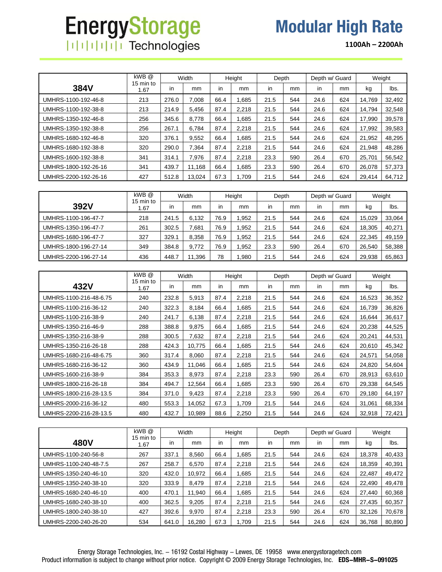# **EnergyStorage** | | | | | | | | | | Technologies

**1100Ah – 2200Ah**

|                      | kWB @             |           | Width  |      | Height | Depth |     | Depth w/ Guard |     |        | Weight |
|----------------------|-------------------|-----------|--------|------|--------|-------|-----|----------------|-----|--------|--------|
| 384V                 | 15 min to<br>1.67 | <i>in</i> | mm     | in   | mm     | in.   | mm  | <i>in</i>      | mm  | kg     | lbs.   |
| UMHRS-1100-192-46-8  | 213               | 276.0     | 7.008  | 66.4 | .685   | 21.5  | 544 | 24.6           | 624 | 14.769 | 32,492 |
| UMHRS-1100-192-38-8  | 213               | 214.9     | 5.456  | 87.4 | 2.218  | 21.5  | 544 | 24.6           | 624 | 14.794 | 32,548 |
| UMHRS-1350-192-46-8  | 256               | 345.6     | 8.778  | 66.4 | .685   | 21.5  | 544 | 24.6           | 624 | 17.990 | 39.578 |
| UMHRS-1350-192-38-8  | 256               | 267.1     | 6.784  | 87.4 | 2.218  | 21.5  | 544 | 24.6           | 624 | 17.992 | 39.583 |
| UMHRS-1680-192-46-8  | 320               | 376.1     | 9.552  | 66.4 | .685   | 21.5  | 544 | 24.6           | 624 | 21.952 | 48,295 |
| UMHRS-1680-192-38-8  | 320               | 290.0     | 7.364  | 87.4 | 2.218  | 21.5  | 544 | 24.6           | 624 | 21.948 | 48.286 |
| UMHRS-1600-192-38-8  | 341               | 314.1     | 7.976  | 87.4 | 2,218  | 23.3  | 590 | 26.4           | 670 | 25.701 | 56,542 |
| UMHRS-1800-192-26-16 | 341               | 439.7     | 11.168 | 66.4 | .685   | 23.3  | 590 | 26.4           | 670 | 26.078 | 57,373 |
| UMHRS-2200-192-26-16 | 427               | 512.8     | 13.024 | 67.3 | 1.709  | 21.5  | 544 | 24.6           | 624 | 29.414 | 64,712 |

|                      | kWB @<br>15 min to<br>.67 | Width |       | Height |      | Depth |     | Depth w/ Guard |     | Weight |        |
|----------------------|---------------------------|-------|-------|--------|------|-------|-----|----------------|-----|--------|--------|
| 392V                 |                           | in    | mm    | in     | mm   | in    | mm  | in             | mm  | kg     | lbs.   |
| UMHRS-1100-196-47-7  | 218                       | 241.5 | 6.132 | 76.9   | .952 | 21.5  | 544 | 24.6           | 624 | 15.029 | 33,064 |
| UMHRS-1350-196-47-7  | 261                       | 302.5 | 7,681 | 76.9   | .952 | 21.5  | 544 | 24.6           | 624 | 18.305 | 40,271 |
| UMHRS-1680-196-47-7  | 327                       | 329.1 | 8.358 | 76.9   | .952 | 21.5  | 544 | 24.6           | 624 | 22.345 | 49,159 |
| UMHRS-1800-196-27-14 | 349                       | 384.8 | 9.772 | 76.9   | .952 | 23.3  | 590 | 26.4           | 670 | 26.540 | 58,388 |
| UMHRS-2200-196-27-14 | 436                       | 448.7 | 1.396 | 78     | .980 | 21.5  | 544 | 24.6           | 624 | 29.938 | 65,863 |

|                        | kWB@              |       | Width  |      | Height | Depth |     | Depth w/ Guard |     |        | Weight |
|------------------------|-------------------|-------|--------|------|--------|-------|-----|----------------|-----|--------|--------|
| 432V                   | 15 min to<br>1.67 | in    | mm     | in.  | mm     | in    | mm  | in             | mm  | kg     | lbs.   |
| UMHRS-1100-216-48-6.75 | 240               | 232.8 | 5,913  | 87.4 | 2,218  | 21.5  | 544 | 24.6           | 624 | 16,523 | 36,352 |
| UMHRS-1100-216-36-12   | 240               | 322.3 | 8,184  | 66.4 | 1,685  | 21.5  | 544 | 24.6           | 624 | 16,739 | 36,826 |
| UMHRS-1100-216-38-9    | 240               | 241.7 | 6,138  | 87.4 | 2,218  | 21.5  | 544 | 24.6           | 624 | 16,644 | 36,617 |
| UMHRS-1350-216-46-9    | 288               | 388.8 | 9,875  | 66.4 | 1,685  | 21.5  | 544 | 24.6           | 624 | 20,238 | 44,525 |
| UMHRS-1350-216-38-9    | 288               | 300.5 | 7,632  | 87.4 | 2,218  | 21.5  | 544 | 24.6           | 624 | 20,241 | 44,531 |
| UMHRS-1350-216-26-18   | 288               | 424.3 | 10,775 | 66.4 | .685   | 21.5  | 544 | 24.6           | 624 | 20,610 | 45,342 |
| UMHRS-1680-216-48-6.75 | 360               | 317.4 | 8.060  | 87.4 | 2,218  | 21.5  | 544 | 24.6           | 624 | 24,571 | 54,058 |
| UMHRS-1680-216-36-12   | 360               | 434.9 | 11,046 | 66.4 | 1,685  | 21.5  | 544 | 24.6           | 624 | 24,820 | 54,604 |
| UMHRS-1600-216-38-9    | 384               | 353.3 | 8,973  | 87.4 | 2,218  | 23.3  | 590 | 26.4           | 670 | 28,913 | 63,610 |
| UMHRS-1800-216-26-18   | 384               | 494.7 | 12,564 | 66.4 | 1,685  | 23.3  | 590 | 26.4           | 670 | 29,338 | 64,545 |
| UMHRS-1800-216-28-13.5 | 384               | 371.0 | 9,423  | 87.4 | 2,218  | 23.3  | 590 | 26.4           | 670 | 29,180 | 64,197 |
| UMHRS-2000-216-36-12   | 480               | 553.3 | 14,052 | 67.3 | 1,709  | 21.5  | 544 | 24.6           | 624 | 31,061 | 68,334 |
| UMHRS-2200-216-28-13.5 | 480               | 432.7 | 10,989 | 88.6 | 2,250  | 21.5  | 544 | 24.6           | 624 | 32,918 | 72,421 |

|                       | kWB @             |           | Width  |      | Height | Depth |     | Depth w/ Guard |     |        | Weight |
|-----------------------|-------------------|-----------|--------|------|--------|-------|-----|----------------|-----|--------|--------|
| <b>480V</b>           | 15 min to<br>1.67 | <i>in</i> | mm     | in   | mm     | in    | mm  | in             | mm  | kg     | lbs.   |
| UMHRS-1100-240-56-8   | 267               | 337.1     | 8,560  | 66.4 | .685   | 21.5  | 544 | 24.6           | 624 | 18,378 | 40,433 |
| UMHRS-1100-240-48-7.5 | 267               | 258.7     | 6.570  | 87.4 | 2.218  | 21.5  | 544 | 24.6           | 624 | 18.359 | 40,391 |
| UMHRS-1350-240-46-10  | 320               | 432.0     | 10.972 | 66.4 | 1.685  | 21.5  | 544 | 24.6           | 624 | 22.487 | 49,472 |
| UMHRS-1350-240-38-10  | 320               | 333.9     | 8.479  | 87.4 | 2.218  | 21.5  | 544 | 24.6           | 624 | 22.490 | 49,478 |
| UMHRS-1680-240-46-10  | 400               | 470.1     | 11.940 | 66.4 | 1.685  | 21.5  | 544 | 24.6           | 624 | 27.440 | 60,368 |
| UMHRS-1680-240-38-10  | 400               | 362.5     | 9,205  | 87.4 | 2.218  | 21.5  | 544 | 24.6           | 624 | 27,435 | 60,357 |
| UMHRS-1800-240-38-10  | 427               | 392.6     | 9.970  | 87.4 | 2.218  | 23.3  | 590 | 26.4           | 670 | 32.126 | 70,678 |
| UMHRS-2200-240-26-20  | 534               | 641.0     | 16.280 | 67.3 | 1.709  | 21.5  | 544 | 24.6           | 624 | 36.768 | 80,890 |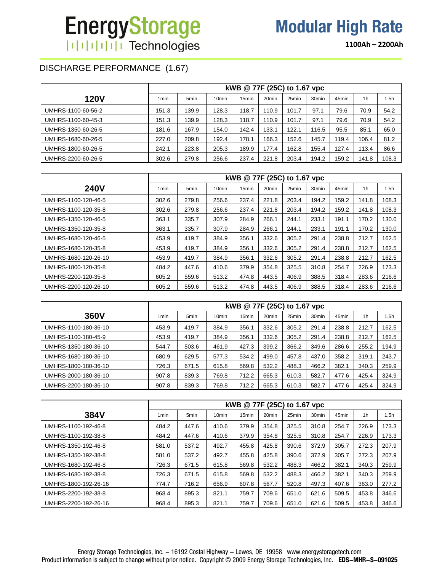**1100Ah – 2200Ah**

## DISCHARGE PERFORMANCE (1.67)

|                    |                  |                  |                   | kWB @ 77F (25C) to 1.67 vpc |                   |       |                   |       |                |       |
|--------------------|------------------|------------------|-------------------|-----------------------------|-------------------|-------|-------------------|-------|----------------|-------|
| <b>120V</b>        | 1 <sub>min</sub> | 5 <sub>min</sub> | 10 <sub>min</sub> | 15 <sub>min</sub>           | 20 <sub>min</sub> | 25min | 30 <sub>min</sub> | 45min | 1 <sub>h</sub> | l.5h  |
| UMHRS-1100-60-56-2 | 151.3            | 139.9            | 128.3             | 118.7                       | 110.9             | 101.7 | 97.1              | 79.6  | 70.9           | 54.2  |
| UMHRS-1100-60-45-3 | 151.3            | 139.9            | 128.3             | 118.7                       | 110.9             | 101.7 | 97.1              | 79.6  | 70.9           | 54.2  |
| UMHRS-1350-60-26-5 | 181.6            | 167.9            | 154.0             | 142.4                       | 133.1             | 122.1 | 116.5             | 95.5  | 85.1           | 65.0  |
| UMHRS-1680-60-26-5 | 227.0            | 209.8            | 192.4             | 178.1                       | 166.3             | 152.6 | 145.7             | 119.4 | 106.4          | 81.2  |
| UMHRS-1800-60-26-5 | 242.1            | 223.8            | 205.3             | 189.9                       | 177.4             | 162.8 | 155.4             | 127.4 | 113.4          | 86.6  |
| UMHRS-2200-60-26-5 | 302.6            | 279.8            | 256.6             | 237.4                       | 221.8             | 203.4 | 194.2             | 159.2 | 141.8          | 108.3 |

|                      |                  |       |                   | kWB @ 77F (25C) to 1.67 vpc |                   |       |                   |       |                |                  |
|----------------------|------------------|-------|-------------------|-----------------------------|-------------------|-------|-------------------|-------|----------------|------------------|
| <b>240V</b>          | 1 <sub>min</sub> | 5min  | 10 <sub>min</sub> | 15 <sub>min</sub>           | 20 <sub>min</sub> | 25min | 30 <sub>min</sub> | 45min | 1 <sub>h</sub> | 1.5 <sub>h</sub> |
| UMHRS-1100-120-46-5  | 302.6            | 279.8 | 256.6             | 237.4                       | 221.8             | 203.4 | 194.2             | 159.2 | 141.8          | 108.3            |
| UMHRS-1100-120-35-8  | 302.6            | 279.8 | 256.6             | 237.4                       | 221.8             | 203.4 | 194.2             | 159.2 | 141.8          | 108.3            |
| UMHRS-1350-120-46-5  | 363.1            | 335.7 | 307.9             | 284.9                       | 266.1             | 244.1 | 233.1             | 191.1 | 170.2          | 130.0            |
| UMHRS-1350-120-35-8  | 363.1            | 335.7 | 307.9             | 284.9                       | 266.1             | 244.1 | 233.1             | 191.1 | 170.2          | 130.0            |
| UMHRS-1680-120-46-5  | 453.9            | 419.7 | 384.9             | 356.1                       | 332.6             | 305.2 | 291.4             | 238.8 | 212.7          | 162.5            |
| UMHRS-1680-120-35-8  | 453.9            | 419.7 | 384.9             | 356.1                       | 332.6             | 305.2 | 291.4             | 238.8 | 212.7          | 162.5            |
| UMHRS-1680-120-26-10 | 453.9            | 419.7 | 384.9             | 356.1                       | 332.6             | 305.2 | 291.4             | 238.8 | 212.7          | 162.5            |
| UMHRS-1800-120-35-8  | 484.2            | 447.6 | 410.6             | 379.9                       | 354.8             | 325.5 | 310.8             | 254.7 | 226.9          | 173.3            |
| UMHRS-2200-120-35-8  | 605.2            | 559.6 | 513.2             | 474.8                       | 443.5             | 406.9 | 388.5             | 318.4 | 283.6          | 216.6            |
| UMHRS-2200-120-26-10 | 605.2            | 559.6 | 513.2             | 474.8                       | 443.5             | 406.9 | 388.5             | 318.4 | 283.6          | 216.6            |

|                      |       |                  |                   | kWB @ 77F (25C) to 1.67 vpc |                   |       |                   |       |                |       |
|----------------------|-------|------------------|-------------------|-----------------------------|-------------------|-------|-------------------|-------|----------------|-------|
| 360V                 | 1min  | 5 <sub>min</sub> | 10 <sub>min</sub> | 15min                       | 20 <sub>min</sub> | 25min | 30 <sub>min</sub> | 45min | 1 <sub>h</sub> | 1.5h  |
| UMHRS-1100-180-36-10 | 453.9 | 419.7            | 384.9             | 356.1                       | 332.6             | 305.2 | 291.4             | 238.8 | 212.7          | 162.5 |
| UMHRS-1100-180-45-9  | 453.9 | 419.7            | 384.9             | 356.1                       | 332.6             | 305.2 | 291.4             | 238.8 | 212.7          | 162.5 |
| UMHRS-1350-180-36-10 | 544.7 | 503.6            | 461.9             | 427.3                       | 399.2             | 366.2 | 349.6             | 286.6 | 255.2          | 194.9 |
| UMHRS-1680-180-36-10 | 680.9 | 629.5            | 577.3             | 534.2                       | 499.0             | 457.8 | 437.0             | 358.2 | 319.1          | 243.7 |
| UMHRS-1800-180-36-10 | 726.3 | 671.5            | 615.8             | 569.8                       | 532.2             | 488.3 | 466.2             | 382.1 | 340.3          | 259.9 |
| UMHRS-2000-180-36-10 | 907.8 | 839.3            | 769.8             | 712.2                       | 665.3             | 610.3 | 582.7             | 477.6 | 425.4          | 324.9 |
| UMHRS-2200-180-36-10 | 907.8 | 839.3            | 769.8             | 712.2                       | 665.3             | 610.3 | 582.7             | 477.6 | 425.4          | 324.9 |

|                      |                  |                  |                   | kWB @ 77F (25C) to 1.67 vpc |                   |                   |                   |                   |                |       |
|----------------------|------------------|------------------|-------------------|-----------------------------|-------------------|-------------------|-------------------|-------------------|----------------|-------|
| 384V                 | 1 <sub>min</sub> | 5 <sub>min</sub> | 10 <sub>min</sub> | 15 <sub>min</sub>           | 20 <sub>min</sub> | 25 <sub>min</sub> | 30 <sub>min</sub> | 45 <sub>min</sub> | 1 <sub>h</sub> | 1.5h  |
| UMHRS-1100-192-46-8  | 484.2            | 447.6            | 410.6             | 379.9                       | 354.8             | 325.5             | 310.8             | 254.7             | 226.9          | 173.3 |
| UMHRS-1100-192-38-8  | 484.2            | 447.6            | 410.6             | 379.9                       | 354.8             | 325.5             | 310.8             | 254.7             | 226.9          | 173.3 |
| UMHRS-1350-192-46-8  | 581.0            | 537.2            | 492.7             | 455.8                       | 425.8             | 390.6             | 372.9             | 305.7             | 272.3          | 207.9 |
| UMHRS-1350-192-38-8  | 581.0            | 537.2            | 492.7             | 455.8                       | 425.8             | 390.6             | 372.9             | 305.7             | 272.3          | 207.9 |
| UMHRS-1680-192-46-8  | 726.3            | 671.5            | 615.8             | 569.8                       | 532.2             | 488.3             | 466.2             | 382.1             | 340.3          | 259.9 |
| UMHRS-1680-192-38-8  | 726.3            | 671.5            | 615.8             | 569.8                       | 532.2             | 488.3             | 466.2             | 382.1             | 340.3          | 259.9 |
| UMHRS-1800-192-26-16 | 774.7            | 716.2            | 656.9             | 607.8                       | 567.7             | 520.8             | 497.3             | 407.6             | 363.0          | 277.2 |
| UMHRS-2200-192-38-8  | 968.4            | 895.3            | 821.1             | 759.7                       | 709.6             | 651.0             | 621.6             | 509.5             | 453.8          | 346.6 |
| UMHRS-2200-192-26-16 | 968.4            | 895.3            | 821.1             | 759.7                       | 709.6             | 651.0             | 621.6             | 509.5             | 453.8          | 346.6 |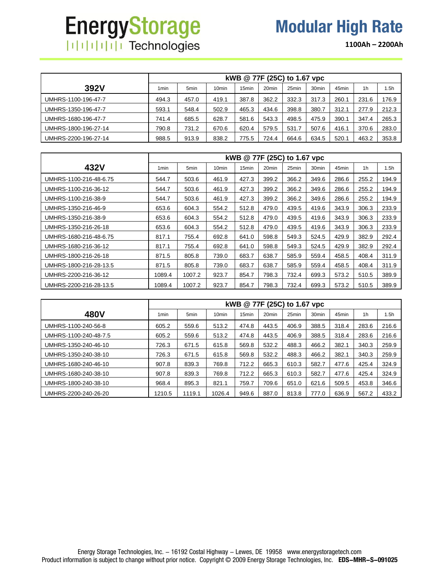# **EnergyStorage** | | | | | | | | | | Technologies

**1100Ah – 2200Ah**

|                      |       |                  |                   |       | kWB @ 77F (25C) to 1.67 vpc |       |                   |       |                |       |
|----------------------|-------|------------------|-------------------|-------|-----------------------------|-------|-------------------|-------|----------------|-------|
| 392V                 | 1 min | 5 <sub>min</sub> | 10 <sub>min</sub> | 15min | 20 <sub>min</sub>           | 25min | 30 <sub>min</sub> | 45min | 1 <sub>h</sub> | 1.5h  |
| UMHRS-1100-196-47-7  | 494.3 | 457.0            | 419.1             | 387.8 | 362.2                       | 332.3 | 317.3             | 260.1 | 231.6          | 176.9 |
| UMHRS-1350-196-47-7  | 593.1 | 548.4            | 502.9             | 465.3 | 434.6                       | 398.8 | 380.7             | 312.1 | 277.9          | 212.3 |
| UMHRS-1680-196-47-7  | 741.4 | 685.5            | 628.7             | 581.6 | 543.3                       | 498.5 | 475.9             | 390.1 | 347.4          | 265.3 |
| UMHRS-1800-196-27-14 | 790.8 | 731.2            | 670.6             | 620.4 | 579.5                       | 531.7 | 507.6             | 416.1 | 370.6          | 283.0 |
| UMHRS-2200-196-27-14 | 988.5 | 913.9            | 838.2             | 775.5 | 724.4                       | 664.6 | 634.5             | 520.1 | 463.2          | 353.8 |

|                        |                  |                  |                   | kWB @ 77F (25C) to 1.67 vpc |                   |       |                   |       |                |       |
|------------------------|------------------|------------------|-------------------|-----------------------------|-------------------|-------|-------------------|-------|----------------|-------|
| 432V                   | 1 <sub>min</sub> | 5 <sub>min</sub> | 10 <sub>min</sub> | 15 <sub>min</sub>           | 20 <sub>min</sub> | 25min | 30 <sub>min</sub> | 45min | 1 <sub>h</sub> | 1.5h  |
| UMHRS-1100-216-48-6.75 | 544.7            | 503.6            | 461.9             | 427.3                       | 399.2             | 366.2 | 349.6             | 286.6 | 255.2          | 194.9 |
| UMHRS-1100-216-36-12   | 544.7            | 503.6            | 461.9             | 427.3                       | 399.2             | 366.2 | 349.6             | 286.6 | 255.2          | 194.9 |
| UMHRS-1100-216-38-9    | 544.7            | 503.6            | 461.9             | 427.3                       | 399.2             | 366.2 | 349.6             | 286.6 | 255.2          | 194.9 |
| UMHRS-1350-216-46-9    | 653.6            | 604.3            | 554.2             | 512.8                       | 479.0             | 439.5 | 419.6             | 343.9 | 306.3          | 233.9 |
| UMHRS-1350-216-38-9    | 653.6            | 604.3            | 554.2             | 512.8                       | 479.0             | 439.5 | 419.6             | 343.9 | 306.3          | 233.9 |
| UMHRS-1350-216-26-18   | 653.6            | 604.3            | 554.2             | 512.8                       | 479.0             | 439.5 | 419.6             | 343.9 | 306.3          | 233.9 |
| UMHRS-1680-216-48-6.75 | 817.1            | 755.4            | 692.8             | 641.0                       | 598.8             | 549.3 | 524.5             | 429.9 | 382.9          | 292.4 |
| UMHRS-1680-216-36-12   | 817.1            | 755.4            | 692.8             | 641.0                       | 598.8             | 549.3 | 524.5             | 429.9 | 382.9          | 292.4 |
| UMHRS-1800-216-26-18   | 871.5            | 805.8            | 739.0             | 683.7                       | 638.7             | 585.9 | 559.4             | 458.5 | 408.4          | 311.9 |
| UMHRS-1800-216-28-13.5 | 871.5            | 805.8            | 739.0             | 683.7                       | 638.7             | 585.9 | 559.4             | 458.5 | 408.4          | 311.9 |
| UMHRS-2200-216-36-12   | 1089.4           | 1007.2           | 923.7             | 854.7                       | 798.3             | 732.4 | 699.3             | 573.2 | 510.5          | 389.9 |
| UMHRS-2200-216-28-13.5 | 1089.4           | 1007.2           | 923.7             | 854.7                       | 798.3             | 732.4 | 699.3             | 573.2 | 510.5          | 389.9 |

|                       |        |                  |                   |                   | kWB @ 77F (25C) to 1.67 vpc |                   |                   |       |                |       |
|-----------------------|--------|------------------|-------------------|-------------------|-----------------------------|-------------------|-------------------|-------|----------------|-------|
| 480V                  | 1min   | 5 <sub>min</sub> | 10 <sub>min</sub> | 15 <sub>min</sub> | 20 <sub>min</sub>           | 25 <sub>min</sub> | 30 <sub>min</sub> | 45min | 1 <sub>h</sub> | 1.5h  |
| UMHRS-1100-240-56-8   | 605.2  | 559.6            | 513.2             | 474.8             | 443.5                       | 406.9             | 388.5             | 318.4 | 283.6          | 216.6 |
| UMHRS-1100-240-48-7.5 | 605.2  | 559.6            | 513.2             | 474.8             | 443.5                       | 406.9             | 388.5             | 318.4 | 283.6          | 216.6 |
| UMHRS-1350-240-46-10  | 726.3  | 671.5            | 615.8             | 569.8             | 532.2                       | 488.3             | 466.2             | 382.1 | 340.3          | 259.9 |
| UMHRS-1350-240-38-10  | 726.3  | 671.5            | 615.8             | 569.8             | 532.2                       | 488.3             | 466.2             | 382.1 | 340.3          | 259.9 |
| UMHRS-1680-240-46-10  | 907.8  | 839.3            | 769.8             | 712.2             | 665.3                       | 610.3             | 582.7             | 477.6 | 425.4          | 324.9 |
| UMHRS-1680-240-38-10  | 907.8  | 839.3            | 769.8             | 712.2             | 665.3                       | 610.3             | 582.7             | 477.6 | 425.4          | 324.9 |
| UMHRS-1800-240-38-10  | 968.4  | 895.3            | 821.1             | 759.7             | 709.6                       | 651.0             | 621.6             | 509.5 | 453.8          | 346.6 |
| UMHRS-2200-240-26-20  | 1210.5 | 1119.1           | 1026.4            | 949.6             | 887.0                       | 813.8             | 777.0             | 636.9 | 567.2          | 433.2 |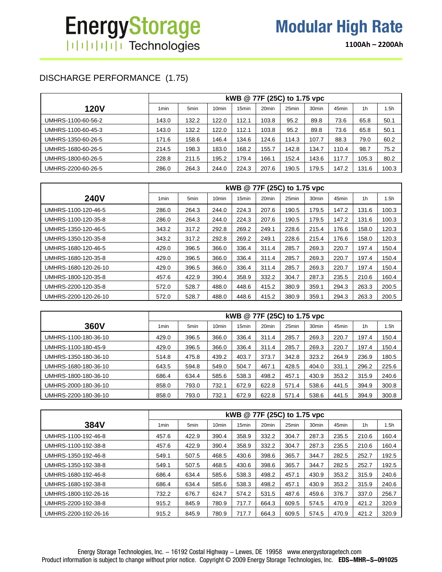**1100Ah – 2200Ah**

## DISCHARGE PERFORMANCE (1.75)

|                    |                  |                  |                   |                   |                   | kWB @ 77F (25C) to 1.75 vpc |                   |       |                |       |
|--------------------|------------------|------------------|-------------------|-------------------|-------------------|-----------------------------|-------------------|-------|----------------|-------|
| <b>120V</b>        | 1 <sub>min</sub> | 5 <sub>min</sub> | 10 <sub>min</sub> | 15 <sub>min</sub> | 20 <sub>min</sub> | 25min                       | 30 <sub>min</sub> | 45min | 1 <sub>h</sub> | 1.5h  |
| UMHRS-1100-60-56-2 | 143.0            | 132.2            | 122.0             | 112.1             | 103.8             | 95.2                        | 89.8              | 73.6  | 65.8           | 50.1  |
| UMHRS-1100-60-45-3 | 143.0            | 132.2            | 122.0             | 112.1             | 103.8             | 95.2                        | 89.8              | 73.6  | 65.8           | 50.1  |
| UMHRS-1350-60-26-5 | 171.6            | 158.6            | 146.4             | 134.6             | 124.6             | 114.3                       | 107.7             | 88.3  | 79.0           | 60.2  |
| UMHRS-1680-60-26-5 | 214.5            | 198.3            | 183.0             | 168.2             | 155.7             | 142.8                       | 134.7             | 110.4 | 98.7           | 75.2  |
| UMHRS-1800-60-26-5 | 228.8            | 211.5            | 195.2             | 179.4             | 166.1             | 152.4                       | 143.6             | 117.7 | 105.3          | 80.2  |
| UMHRS-2200-60-26-5 | 286.0            | 264.3            | 244.0             | 224.3             | 207.6             | 190.5                       | 179.5             | 147.2 | 131.6          | 100.3 |

|                      |                  |       |                   |                   | kWB @ 77F (25C) to 1.75 vpc |       |                   |       |                |       |
|----------------------|------------------|-------|-------------------|-------------------|-----------------------------|-------|-------------------|-------|----------------|-------|
| <b>240V</b>          | 1 <sub>min</sub> | 5min  | 10 <sub>min</sub> | 15 <sub>min</sub> | 20 <sub>min</sub>           | 25min | 30 <sub>min</sub> | 45min | 1 <sub>h</sub> | 1.5h  |
| UMHRS-1100-120-46-5  | 286.0            | 264.3 | 244.0             | 224.3             | 207.6                       | 190.5 | 179.5             | 147.2 | 131.6          | 100.3 |
| UMHRS-1100-120-35-8  | 286.0            | 264.3 | 244.0             | 224.3             | 207.6                       | 190.5 | 179.5             | 147.2 | 131.6          | 100.3 |
| UMHRS-1350-120-46-5  | 343.2            | 317.2 | 292.8             | 269.2             | 249.1                       | 228.6 | 215.4             | 176.6 | 158.0          | 120.3 |
| UMHRS-1350-120-35-8  | 343.2            | 317.2 | 292.8             | 269.2             | 249.1                       | 228.6 | 215.4             | 176.6 | 158.0          | 120.3 |
| UMHRS-1680-120-46-5  | 429.0            | 396.5 | 366.0             | 336.4             | 311.4                       | 285.7 | 269.3             | 220.7 | 197.4          | 150.4 |
| UMHRS-1680-120-35-8  | 429.0            | 396.5 | 366.0             | 336.4             | 311.4                       | 285.7 | 269.3             | 220.7 | 197.4          | 150.4 |
| UMHRS-1680-120-26-10 | 429.0            | 396.5 | 366.0             | 336.4             | 311.4                       | 285.7 | 269.3             | 220.7 | 197.4          | 150.4 |
| UMHRS-1800-120-35-8  | 457.6            | 422.9 | 390.4             | 358.9             | 332.2                       | 304.7 | 287.3             | 235.5 | 210.6          | 160.4 |
| UMHRS-2200-120-35-8  | 572.0            | 528.7 | 488.0             | 448.6             | 415.2                       | 380.9 | 359.1             | 294.3 | 263.3          | 200.5 |
| UMHRS-2200-120-26-10 | 572.0            | 528.7 | 488.0             | 448.6             | 415.2                       | 380.9 | 359.1             | 294.3 | 263.3          | 200.5 |

|                      |                  |                  |                   |                   | kWB @ 77F (25C) to 1.75 vpc |       |                   |       |                |       |
|----------------------|------------------|------------------|-------------------|-------------------|-----------------------------|-------|-------------------|-------|----------------|-------|
| 360V                 | 1 <sub>min</sub> | 5 <sub>min</sub> | 10 <sub>min</sub> | 15 <sub>min</sub> | 20 <sub>min</sub>           | 25min | 30 <sub>min</sub> | 45min | 1 <sub>h</sub> | i 5h  |
| UMHRS-1100-180-36-10 | 429.0            | 396.5            | 366.0             | 336.4             | 311.4                       | 285.7 | 269.3             | 220.7 | 197.4          | 150.4 |
| UMHRS-1100-180-45-9  | 429.0            | 396.5            | 366.0             | 336.4             | 311.4                       | 285.7 | 269.3             | 220.7 | 197.4          | 150.4 |
| UMHRS-1350-180-36-10 | 514.8            | 475.8            | 439.2             | 403.7             | 373.7                       | 342.8 | 323.2             | 264.9 | 236.9          | 180.5 |
| UMHRS-1680-180-36-10 | 643.5            | 594.8            | 549.0             | 504.7             | 467.1                       | 428.5 | 404.0             | 331.1 | 296.2          | 225.6 |
| UMHRS-1800-180-36-10 | 686.4            | 634.4            | 585.6             | 538.3             | 498.2                       | 457.1 | 430.9             | 353.2 | 315.9          | 240.6 |
| UMHRS-2000-180-36-10 | 858.0            | 793.0            | 732.1             | 672.9             | 622.8                       | 571.4 | 538.6             | 441.5 | 394.9          | 300.8 |
| UMHRS-2200-180-36-10 | 858.0            | 793.0            | 732.1             | 672.9             | 622.8                       | 571.4 | 538.6             | 441.5 | 394.9          | 300.8 |

|                      |                  |                  |                   |                   | kWB @ 77F (25C) to 1.75 vpc |       |                   |       |                |       |
|----------------------|------------------|------------------|-------------------|-------------------|-----------------------------|-------|-------------------|-------|----------------|-------|
| 384V                 | 1 <sub>min</sub> | 5 <sub>min</sub> | 10 <sub>min</sub> | 15 <sub>min</sub> | 20 <sub>min</sub>           | 25min | 30 <sub>min</sub> | 45min | 1 <sub>h</sub> | 1.5h  |
| UMHRS-1100-192-46-8  | 457.6            | 422.9            | 390.4             | 358.9             | 332.2                       | 304.7 | 287.3             | 235.5 | 210.6          | 160.4 |
| UMHRS-1100-192-38-8  | 457.6            | 422.9            | 390.4             | 358.9             | 332.2                       | 304.7 | 287.3             | 235.5 | 210.6          | 160.4 |
| UMHRS-1350-192-46-8  | 549.1            | 507.5            | 468.5             | 430.6             | 398.6                       | 365.7 | 344.7             | 282.5 | 252.7          | 192.5 |
| UMHRS-1350-192-38-8  | 549.1            | 507.5            | 468.5             | 430.6             | 398.6                       | 365.7 | 344.7             | 282.5 | 252.7          | 192.5 |
| UMHRS-1680-192-46-8  | 686.4            | 634.4            | 585.6             | 538.3             | 498.2                       | 457.1 | 430.9             | 353.2 | 315.9          | 240.6 |
| UMHRS-1680-192-38-8  | 686.4            | 634.4            | 585.6             | 538.3             | 498.2                       | 457.1 | 430.9             | 353.2 | 315.9          | 240.6 |
| UMHRS-1800-192-26-16 | 732.2            | 676.7            | 624.7             | 574.2             | 531.5                       | 487.6 | 459.6             | 376.7 | 337.0          | 256.7 |
| UMHRS-2200-192-38-8  | 915.2            | 845.9            | 780.9             | 717.7             | 664.3                       | 609.5 | 574.5             | 470.9 | 421.2          | 320.9 |
| UMHRS-2200-192-26-16 | 915.2            | 845.9            | 780.9             | 717.7             | 664.3                       | 609.5 | 574.5             | 470.9 | 421.2          | 320.9 |